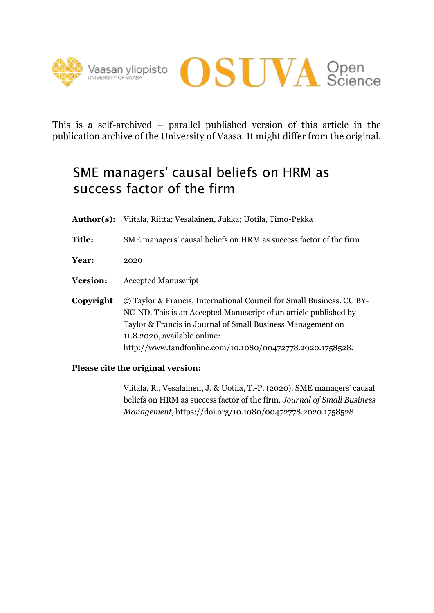



This is a self-archived – parallel published version of this article in the publication archive of the University of Vaasa. It might differ from the original.

# SME managers' causal beliefs on HRM as success factor of the firm

- **Author(s):** Viitala, Riitta; Vesalainen, Jukka; Uotila, Timo-Pekka
- **Title:** SME managers' causal beliefs on HRM as success factor of the firm
- **Year:** 2020
- **Version:** Accepted Manuscript
- **Copyright** © Taylor & Francis, International Council for Small Business. CC BY-NC-ND. This is an Accepted Manuscript of an article published by Taylor & Francis in Journal of Small Business Management on 11.8.2020, available online: http://www.tandfonline.com/10.1080/00472778.2020.1758528.

## **Please cite the original version:**

Viitala, R., Vesalainen, J. & Uotila, T.-P. (2020). SME managers' causal beliefs on HRM as success factor of the firm. *Journal of Small Business Management*, https://doi.org/10.1080/00472778.2020.1758528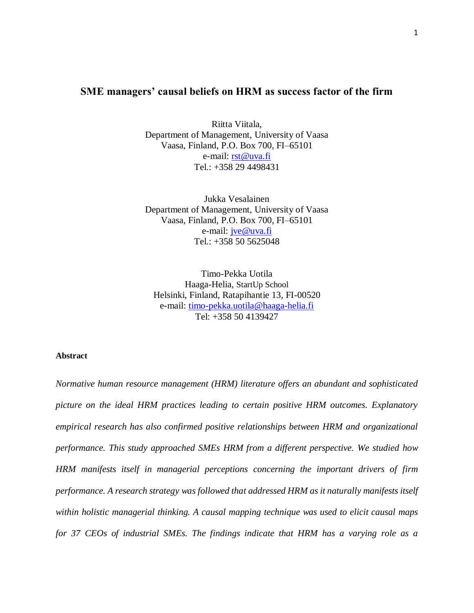### **SME managers' causal beliefs on HRM as success factor of the firm**

Riitta Viitala, Department of Management, University of Vaasa Vaasa, Finland, P.O. Box 700, FI–65101 e-mail: [rst@uva.fi](mailto:rst@uva.fi) Tel.: +358 29 4498431

Jukka Vesalainen Department of Management, University of Vaasa Vaasa, Finland, P.O. Box 700, FI–65101 e-mail: [jve@uva.fi](mailto:jve@uva.fi) Tel.: +358 50 5625048

Timo-Pekka Uotila Haaga-Helia, StartUp School Helsinki, Finland, Ratapihantie 13, FI-00520 e-mail: [timo-pekka.uotila@h](mailto:timo-pekka.uotila@uva.fi)aaga-helia.fi Tel: +358 50 4139427

#### **Abstract**

*Normative human resource management (HRM) literature offers an abundant and sophisticated picture on the ideal HRM practices leading to certain positive HRM outcomes. Explanatory empirical research has also confirmed positive relationships between HRM and organizational performance. This study approached SMEs HRM from a different perspective. We studied how HRM manifests itself in managerial perceptions concerning the important drivers of firm performance. A research strategy was followed that addressed HRM as it naturally manifests itself within holistic managerial thinking. A causal mapping technique was used to elicit causal maps for 37 CEOs of industrial SMEs. The findings indicate that HRM has a varying role as a*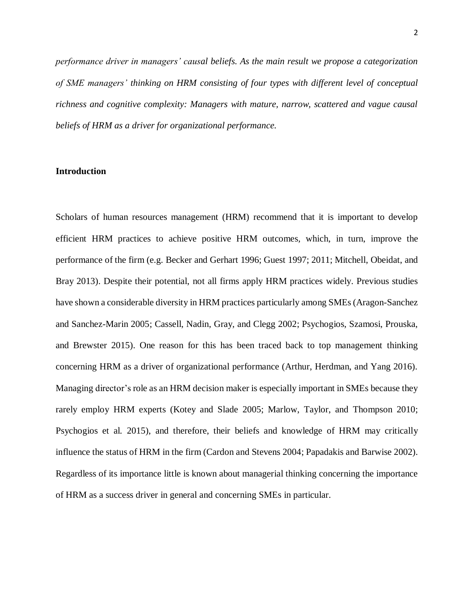*performance driver in managers' causal beliefs. As the main result we propose a categorization of SME managers' thinking on HRM consisting of four types with different level of conceptual richness and cognitive complexity: Managers with mature, narrow, scattered and vague causal beliefs of HRM as a driver for organizational performance.*

#### **Introduction**

Scholars of human resources management (HRM) recommend that it is important to develop efficient HRM practices to achieve positive HRM outcomes*,* which, in turn, improve the performance of the firm (e.g. Becker and Gerhart 1996; Guest 1997; 2011; Mitchell, Obeidat, and Bray 2013). Despite their potential, not all firms apply HRM practices widely. Previous studies have shown a considerable diversity in HRM practices particularly among SMEs (Aragon-Sanchez and Sanchez-Marin 2005; Cassell, Nadin, Gray, and Clegg 2002; Psychogios, Szamosi, Prouska, and Brewster 2015). One reason for this has been traced back to top management thinking concerning HRM as a driver of organizational performance (Arthur, Herdman, and Yang 2016). Managing director's role as an HRM decision maker is especially important in SMEs because they rarely employ HRM experts (Kotey and Slade 2005; Marlow, Taylor, and Thompson 2010; Psychogios et al. 2015), and therefore, their beliefs and knowledge of HRM may critically influence the status of HRM in the firm (Cardon and Stevens 2004; Papadakis and Barwise 2002). Regardless of its importance little is known about managerial thinking concerning the importance of HRM as a success driver in general and concerning SMEs in particular.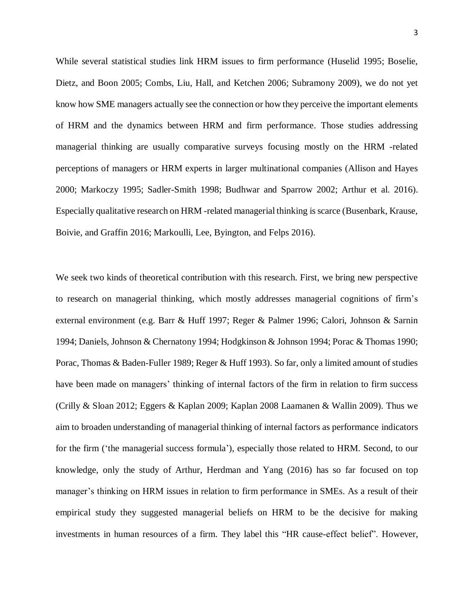While several statistical studies link HRM issues to firm performance (Huselid 1995; Boselie, Dietz, and Boon 2005; Combs, Liu, Hall, and Ketchen 2006; Subramony 2009), we do not yet know how SME managers actually see the connection or how they perceive the important elements of HRM and the dynamics between HRM and firm performance. Those studies addressing managerial thinking are usually comparative surveys focusing mostly on the HRM -related perceptions of managers or HRM experts in larger multinational companies (Allison and Hayes 2000; Markoczy 1995; Sadler-Smith 1998; Budhwar and Sparrow 2002; Arthur et al. 2016). Especially qualitative research on HRM -related managerial thinking is scarce (Busenbark, Krause, Boivie, and Graffin 2016; Markoulli, Lee, Byington, and Felps 2016).

We seek two kinds of theoretical contribution with this research. First, we bring new perspective to research on managerial thinking, which mostly addresses managerial cognitions of firm's external environment (e.g. Barr & Huff 1997; Reger & Palmer 1996; Calori, Johnson & Sarnin 1994; Daniels, Johnson & Chernatony 1994; Hodgkinson & Johnson 1994; Porac & Thomas 1990; Porac, Thomas & Baden-Fuller 1989; Reger & Huff 1993). So far, only a limited amount of studies have been made on managers' thinking of internal factors of the firm in relation to firm success (Crilly & Sloan 2012; Eggers & Kaplan 2009; Kaplan 2008 Laamanen & Wallin 2009). Thus we aim to broaden understanding of managerial thinking of internal factors as performance indicators for the firm ('the managerial success formula'), especially those related to HRM. Second, to our knowledge, only the study of Arthur, Herdman and Yang (2016) has so far focused on top manager's thinking on HRM issues in relation to firm performance in SMEs. As a result of their empirical study they suggested managerial beliefs on HRM to be the decisive for making investments in human resources of a firm. They label this "HR cause-effect belief". However,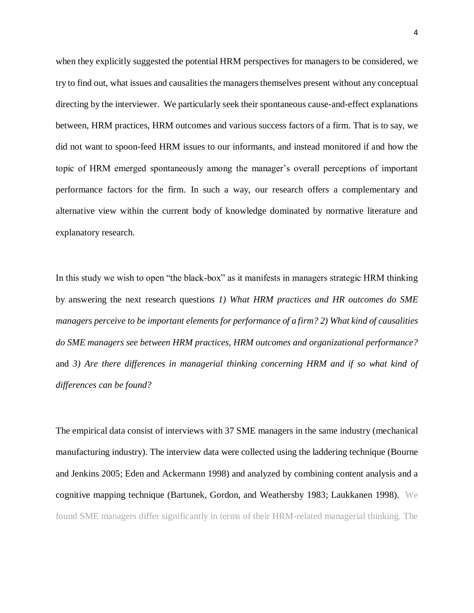when they explicitly suggested the potential HRM perspectives for managers to be considered, we try to find out, what issues and causalities the managers themselves present without any conceptual directing by the interviewer. We particularly seek their spontaneous cause-and-effect explanations between, HRM practices, HRM outcomes and various success factors of a firm. That is to say, we did not want to spoon-feed HRM issues to our informants, and instead monitored if and how the topic of HRM emerged spontaneously among the manager's overall perceptions of important performance factors for the firm. In such a way, our research offers a complementary and alternative view within the current body of knowledge dominated by normative literature and explanatory research.

In this study we wish to open "the black-box" as it manifests in managers strategic HRM thinking by answering the next research questions *1) What HRM practices and HR outcomes do SME managers perceive to be important elements for performance of a firm? 2) What kind of causalities do SME managers see between HRM practices, HRM outcomes and organizational performance?* and *3) Are there differences in managerial thinking concerning HRM and if so what kind of differences can be found?*

The empirical data consist of interviews with 37 SME managers in the same industry (mechanical manufacturing industry). The interview data were collected using the laddering technique (Bourne and Jenkins 2005; Eden and Ackermann 1998) and analyzed by combining content analysis and a cognitive mapping technique (Bartunek, Gordon, and Weathersby 1983; Laukkanen 1998). We found SME managers differ significantly in terms of their HRM-related managerial thinking. The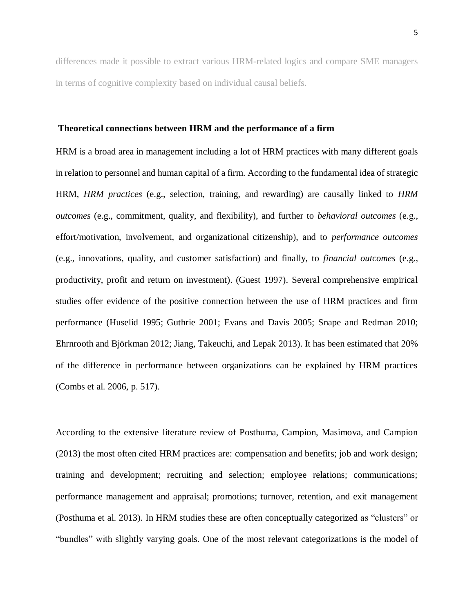differences made it possible to extract various HRM-related logics and compare SME managers in terms of cognitive complexity based on individual causal beliefs.

#### **Theoretical connections between HRM and the performance of a firm**

HRM is a broad area in management including a lot of HRM practices with many different goals in relation to personnel and human capital of a firm. According to the fundamental idea of strategic HRM, *HRM practices* (e.g., selection, training, and rewarding) are causally linked to *HRM outcomes* (e.g., commitment, quality, and flexibility), and further to *behavioral outcomes* (e.g., effort/motivation, involvement, and organizational citizenship), and to *performance outcomes* (e.g., innovations, quality, and customer satisfaction) and finally, to *financial outcomes* (e.g., productivity, profit and return on investment). (Guest 1997). Several comprehensive empirical studies offer evidence of the positive connection between the use of HRM practices and firm performance (Huselid 1995; Guthrie 2001; Evans and Davis 2005; Snape and Redman 2010; Ehrnrooth and Björkman 2012; Jiang, Takeuchi, and Lepak 2013). It has been estimated that 20% of the difference in performance between organizations can be explained by HRM practices (Combs et al. 2006, p. 517).

According to the extensive literature review of Posthuma, Campion, Masimova, and Campion (2013) the most often cited HRM practices are: compensation and benefits; job and work design; training and development; recruiting and selection; employee relations; communications; performance management and appraisal; promotions; turnover, retention, and exit management (Posthuma et al. 2013). In HRM studies these are often conceptually categorized as "clusters" or "bundles" with slightly varying goals. One of the most relevant categorizations is the model of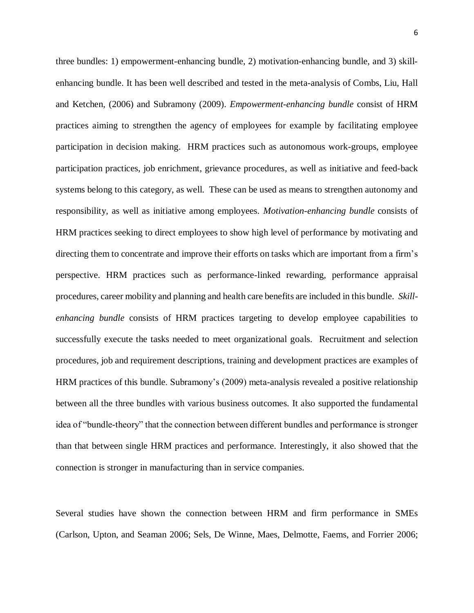three bundles: 1) empowerment-enhancing bundle, 2) motivation-enhancing bundle, and 3) skillenhancing bundle. It has been well described and tested in the meta-analysis of Combs, Liu, Hall and Ketchen, (2006) and Subramony (2009). *Empowerment-enhancing bundle* consist of HRM practices aiming to strengthen the agency of employees for example by facilitating employee participation in decision making. HRM practices such as autonomous work-groups, employee participation practices, job enrichment, grievance procedures, as well as initiative and feed-back systems belong to this category, as well. These can be used as means to strengthen autonomy and responsibility, as well as initiative among employees. *Motivation-enhancing bundle* consists of HRM practices seeking to direct employees to show high level of performance by motivating and directing them to concentrate and improve their efforts on tasks which are important from a firm's perspective. HRM practices such as performance-linked rewarding, performance appraisal procedures, career mobility and planning and health care benefits are included in this bundle. *Skillenhancing bundle* consists of HRM practices targeting to develop employee capabilities to successfully execute the tasks needed to meet organizational goals. Recruitment and selection procedures, job and requirement descriptions, training and development practices are examples of HRM practices of this bundle. Subramony's (2009) meta-analysis revealed a positive relationship between all the three bundles with various business outcomes. It also supported the fundamental idea of "bundle-theory" that the connection between different bundles and performance is stronger than that between single HRM practices and performance. Interestingly, it also showed that the connection is stronger in manufacturing than in service companies.

Several studies have shown the connection between HRM and firm performance in SMEs (Carlson, Upton, and Seaman 2006; Sels, De Winne, Maes, Delmotte, Faems, and Forrier 2006;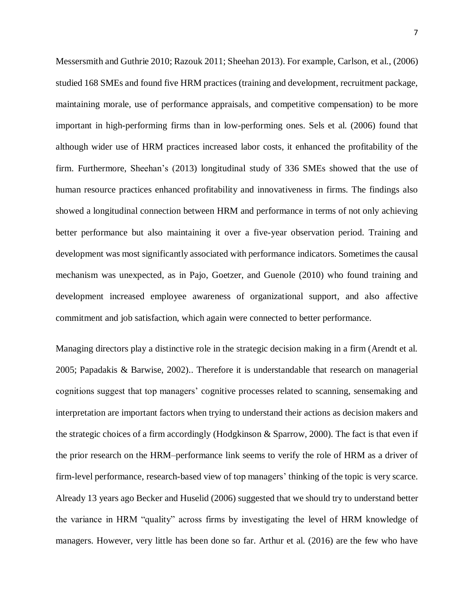Messersmith and Guthrie 2010; Razouk 2011; Sheehan 2013). For example, Carlson, et al., (2006) studied 168 SMEs and found five HRM practices (training and development, recruitment package, maintaining morale, use of performance appraisals, and competitive compensation) to be more important in high-performing firms than in low-performing ones. Sels et al. (2006) found that although wider use of HRM practices increased labor costs, it enhanced the profitability of the firm. Furthermore, Sheehan's (2013) longitudinal study of 336 SMEs showed that the use of human resource practices enhanced profitability and innovativeness in firms. The findings also showed a longitudinal connection between HRM and performance in terms of not only achieving better performance but also maintaining it over a five-year observation period. Training and development was most significantly associated with performance indicators. Sometimes the causal mechanism was unexpected, as in Pajo, Goetzer, and Guenole (2010) who found training and development increased employee awareness of organizational support, and also affective commitment and job satisfaction, which again were connected to better performance.

Managing directors play a distinctive role in the strategic decision making in a firm (Arendt et al. 2005; Papadakis & Barwise, 2002).. Therefore it is understandable that research on managerial cognitions suggest that top managers' cognitive processes related to scanning, sensemaking and interpretation are important factors when trying to understand their actions as decision makers and the strategic choices of a firm accordingly (Hodgkinson & Sparrow, 2000). The fact is that even if the prior research on the HRM–performance link seems to verify the role of HRM as a driver of firm-level performance, research-based view of top managers' thinking of the topic is very scarce. Already 13 years ago Becker and Huselid (2006) suggested that we should try to understand better the variance in HRM "quality" across firms by investigating the level of HRM knowledge of managers. However, very little has been done so far. Arthur et al. (2016) are the few who have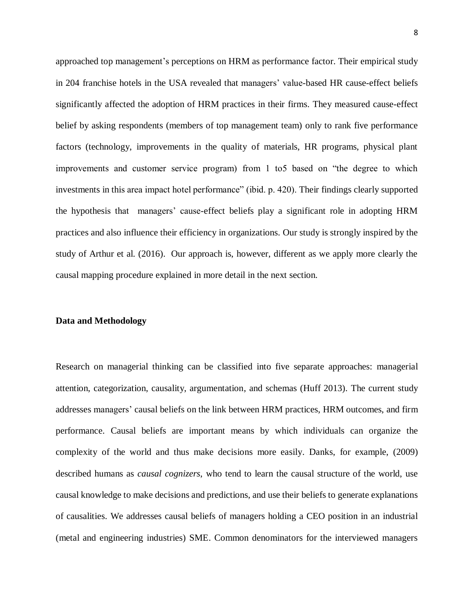approached top management's perceptions on HRM as performance factor. Their empirical study in 204 franchise hotels in the USA revealed that managers' value-based HR cause-effect beliefs significantly affected the adoption of HRM practices in their firms. They measured cause-effect belief by asking respondents (members of top management team) only to rank five performance factors (technology, improvements in the quality of materials, HR programs, physical plant improvements and customer service program) from 1 to5 based on "the degree to which investments in this area impact hotel performance" (ibid. p. 420). Their findings clearly supported the hypothesis that managers' cause-effect beliefs play a significant role in adopting HRM practices and also influence their efficiency in organizations. Our study is strongly inspired by the study of Arthur et al. (2016). Our approach is, however, different as we apply more clearly the causal mapping procedure explained in more detail in the next section.

#### **Data and Methodology**

Research on managerial thinking can be classified into five separate approaches: managerial attention, categorization, causality, argumentation, and schemas (Huff 2013). The current study addresses managers' causal beliefs on the link between HRM practices, HRM outcomes, and firm performance. Causal beliefs are important means by which individuals can organize the complexity of the world and thus make decisions more easily. Danks, for example, (2009) described humans as *causal cognizers*, who tend to learn the causal structure of the world, use causal knowledge to make decisions and predictions, and use their beliefs to generate explanations of causalities. We addresses causal beliefs of managers holding a CEO position in an industrial (metal and engineering industries) SME. Common denominators for the interviewed managers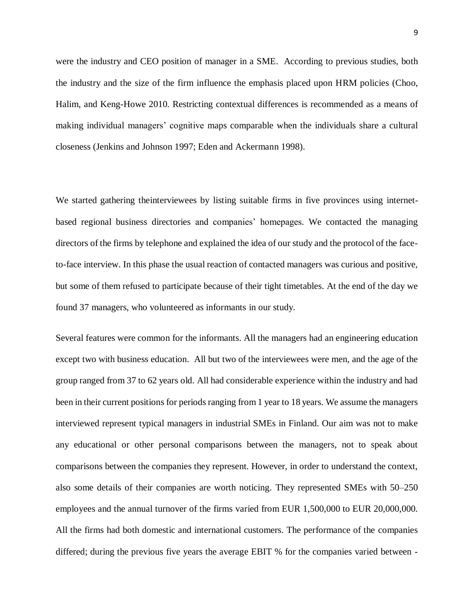were the industry and CEO position of manager in a SME. According to previous studies, both the industry and the size of the firm influence the emphasis placed upon HRM policies (Choo, Halim, and Keng-Howe 2010. Restricting contextual differences is recommended as a means of making individual managers' cognitive maps comparable when the individuals share a cultural closeness (Jenkins and Johnson 1997; Eden and Ackermann 1998).

We started gathering theinterviewees by listing suitable firms in five provinces using internetbased regional business directories and companies' homepages. We contacted the managing directors of the firms by telephone and explained the idea of our study and the protocol of the faceto-face interview. In this phase the usual reaction of contacted managers was curious and positive, but some of them refused to participate because of their tight timetables. At the end of the day we found 37 managers, who volunteered as informants in our study.

Several features were common for the informants. All the managers had an engineering education except two with business education. All but two of the interviewees were men, and the age of the group ranged from 37 to 62 years old. All had considerable experience within the industry and had been in their current positions for periods ranging from 1 year to 18 years. We assume the managers interviewed represent typical managers in industrial SMEs in Finland. Our aim was not to make any educational or other personal comparisons between the managers, not to speak about comparisons between the companies they represent. However, in order to understand the context, also some details of their companies are worth noticing. They represented SMEs with 50–250 employees and the annual turnover of the firms varied from EUR 1,500,000 to EUR 20,000,000. All the firms had both domestic and international customers. The performance of the companies differed; during the previous five years the average EBIT % for the companies varied between -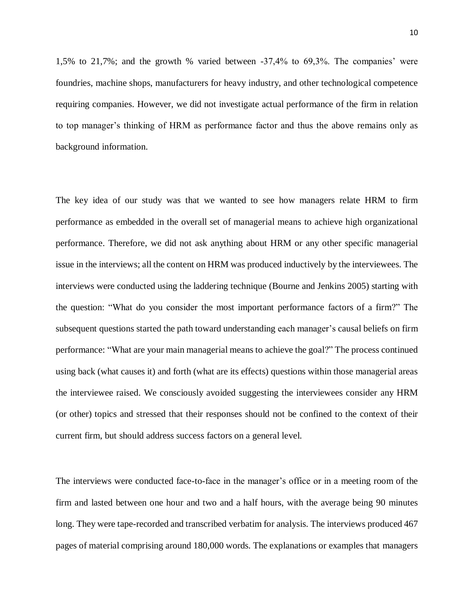1,5% to 21,7%; and the growth % varied between -37,4% to 69,3%. The companies' were foundries, machine shops, manufacturers for heavy industry, and other technological competence requiring companies. However, we did not investigate actual performance of the firm in relation to top manager's thinking of HRM as performance factor and thus the above remains only as background information.

The key idea of our study was that we wanted to see how managers relate HRM to firm performance as embedded in the overall set of managerial means to achieve high organizational performance. Therefore, we did not ask anything about HRM or any other specific managerial issue in the interviews; all the content on HRM was produced inductively by the interviewees. The interviews were conducted using the laddering technique (Bourne and Jenkins 2005) starting with the question: "What do you consider the most important performance factors of a firm?" The subsequent questions started the path toward understanding each manager's causal beliefs on firm performance: "What are your main managerial means to achieve the goal?" The process continued using back (what causes it) and forth (what are its effects) questions within those managerial areas the interviewee raised. We consciously avoided suggesting the interviewees consider any HRM (or other) topics and stressed that their responses should not be confined to the context of their current firm, but should address success factors on a general level.

The interviews were conducted face-to-face in the manager's office or in a meeting room of the firm and lasted between one hour and two and a half hours, with the average being 90 minutes long. They were tape-recorded and transcribed verbatim for analysis. The interviews produced 467 pages of material comprising around 180,000 words. The explanations or examples that managers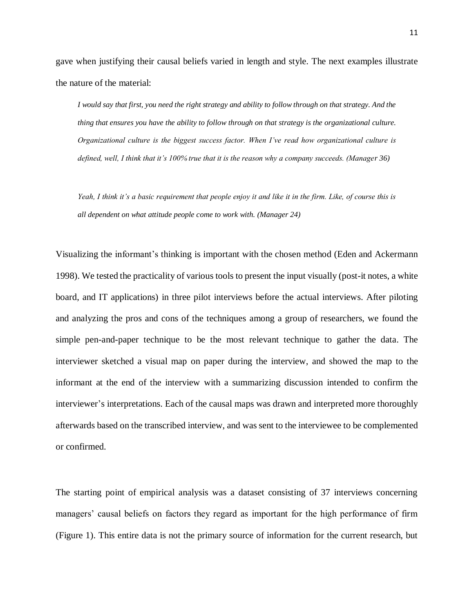gave when justifying their causal beliefs varied in length and style. The next examples illustrate the nature of the material:

*I would say that first, you need the right strategy and ability to follow through on that strategy. And the thing that ensures you have the ability to follow through on that strategy is the organizational culture. Organizational culture is the biggest success factor. When I've read how organizational culture is defined, well, I think that it's 100% true that it is the reason why a company succeeds. (Manager 36)*

*Yeah, I think it's a basic requirement that people enjoy it and like it in the firm. Like, of course this is all dependent on what attitude people come to work with. (Manager 24)*

Visualizing the informant's thinking is important with the chosen method (Eden and Ackermann 1998). We tested the practicality of various tools to present the input visually (post-it notes, a white board, and IT applications) in three pilot interviews before the actual interviews. After piloting and analyzing the pros and cons of the techniques among a group of researchers, we found the simple pen-and-paper technique to be the most relevant technique to gather the data. The interviewer sketched a visual map on paper during the interview, and showed the map to the informant at the end of the interview with a summarizing discussion intended to confirm the interviewer's interpretations. Each of the causal maps was drawn and interpreted more thoroughly afterwards based on the transcribed interview, and was sent to the interviewee to be complemented or confirmed.

The starting point of empirical analysis was a dataset consisting of 37 interviews concerning managers' causal beliefs on factors they regard as important for the high performance of firm (Figure 1). This entire data is not the primary source of information for the current research, but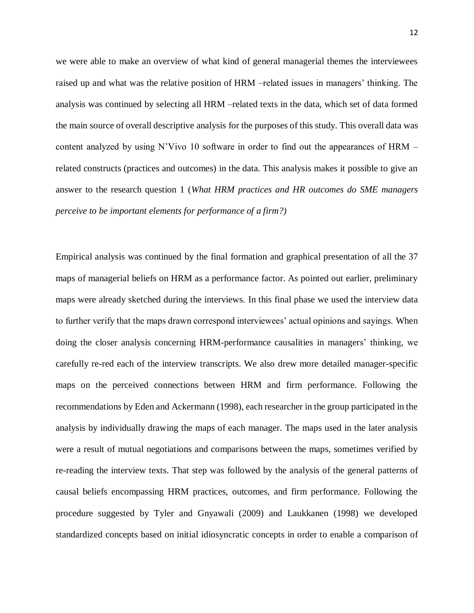we were able to make an overview of what kind of general managerial themes the interviewees raised up and what was the relative position of HRM –related issues in managers' thinking. The analysis was continued by selecting all HRM –related texts in the data, which set of data formed the main source of overall descriptive analysis for the purposes of this study. This overall data was content analyzed by using N'Vivo 10 software in order to find out the appearances of HRM – related constructs (practices and outcomes) in the data. This analysis makes it possible to give an answer to the research question 1 (*What HRM practices and HR outcomes do SME managers perceive to be important elements for performance of a firm?)*

Empirical analysis was continued by the final formation and graphical presentation of all the 37 maps of managerial beliefs on HRM as a performance factor. As pointed out earlier, preliminary maps were already sketched during the interviews. In this final phase we used the interview data to further verify that the maps drawn correspond interviewees' actual opinions and sayings. When doing the closer analysis concerning HRM-performance causalities in managers' thinking, we carefully re-red each of the interview transcripts. We also drew more detailed manager-specific maps on the perceived connections between HRM and firm performance. Following the recommendations by Eden and Ackermann (1998), each researcher in the group participated in the analysis by individually drawing the maps of each manager. The maps used in the later analysis were a result of mutual negotiations and comparisons between the maps, sometimes verified by re-reading the interview texts. That step was followed by the analysis of the general patterns of causal beliefs encompassing HRM practices, outcomes, and firm performance. Following the procedure suggested by Tyler and Gnyawali (2009) and Laukkanen (1998) we developed standardized concepts based on initial idiosyncratic concepts in order to enable a comparison of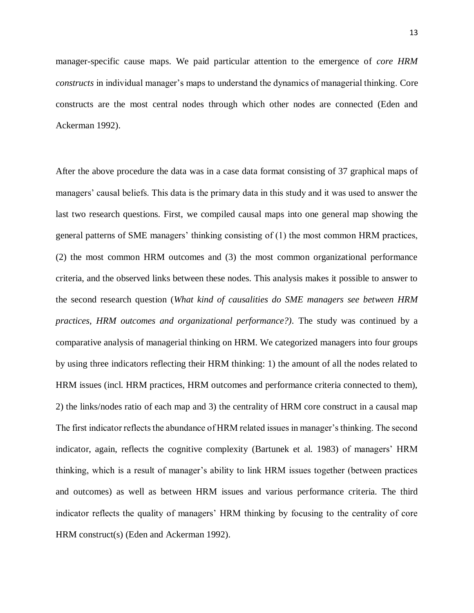manager-specific cause maps. We paid particular attention to the emergence of *core HRM constructs* in individual manager's maps to understand the dynamics of managerial thinking. Core constructs are the most central nodes through which other nodes are connected (Eden and Ackerman 1992).

After the above procedure the data was in a case data format consisting of 37 graphical maps of managers' causal beliefs. This data is the primary data in this study and it was used to answer the last two research questions. First, we compiled causal maps into one general map showing the general patterns of SME managers' thinking consisting of (1) the most common HRM practices, (2) the most common HRM outcomes and (3) the most common organizational performance criteria, and the observed links between these nodes. This analysis makes it possible to answer to the second research question (*What kind of causalities do SME managers see between HRM practices, HRM outcomes and organizational performance?).* The study was continued by a comparative analysis of managerial thinking on HRM. We categorized managers into four groups by using three indicators reflecting their HRM thinking: 1) the amount of all the nodes related to HRM issues (incl. HRM practices, HRM outcomes and performance criteria connected to them), 2) the links/nodes ratio of each map and 3) the centrality of HRM core construct in a causal map The first indicator reflects the abundance of HRM related issues in manager's thinking. The second indicator, again, reflects the cognitive complexity (Bartunek et al. 1983) of managers' HRM thinking, which is a result of manager's ability to link HRM issues together (between practices and outcomes) as well as between HRM issues and various performance criteria. The third indicator reflects the quality of managers' HRM thinking by focusing to the centrality of core HRM construct(s) (Eden and Ackerman 1992).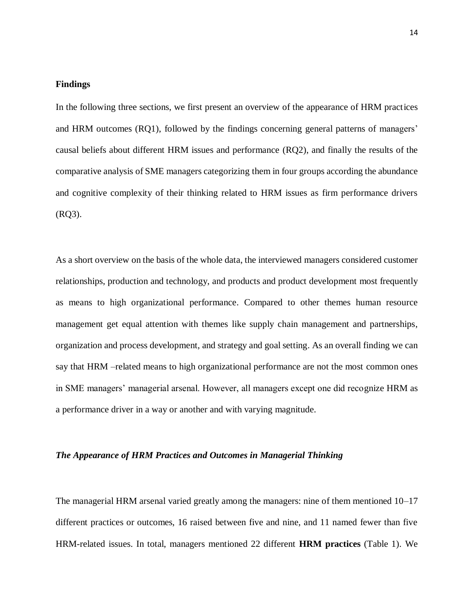#### **Findings**

In the following three sections, we first present an overview of the appearance of HRM practices and HRM outcomes (RQ1), followed by the findings concerning general patterns of managers' causal beliefs about different HRM issues and performance (RQ2), and finally the results of the comparative analysis of SME managers categorizing them in four groups according the abundance and cognitive complexity of their thinking related to HRM issues as firm performance drivers (RQ3).

As a short overview on the basis of the whole data, the interviewed managers considered customer relationships, production and technology, and products and product development most frequently as means to high organizational performance. Compared to other themes human resource management get equal attention with themes like supply chain management and partnerships, organization and process development, and strategy and goal setting. As an overall finding we can say that HRM –related means to high organizational performance are not the most common ones in SME managers' managerial arsenal. However, all managers except one did recognize HRM as a performance driver in a way or another and with varying magnitude.

#### *The Appearance of HRM Practices and Outcomes in Managerial Thinking*

The managerial HRM arsenal varied greatly among the managers: nine of them mentioned 10–17 different practices or outcomes, 16 raised between five and nine, and 11 named fewer than five HRM-related issues. In total, managers mentioned 22 different **HRM practices** (Table 1). We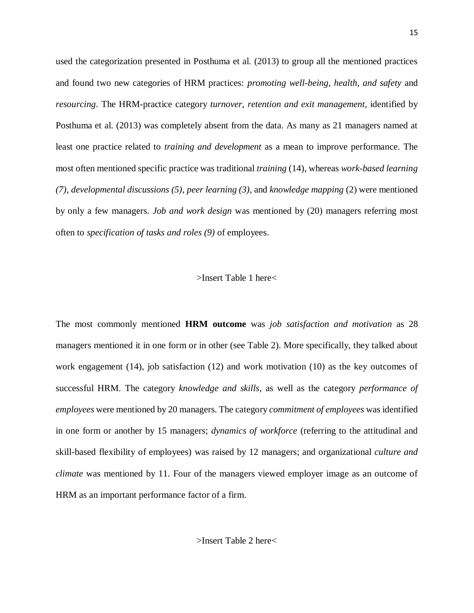used the categorization presented in Posthuma et al. (2013) to group all the mentioned practices and found two new categories of HRM practices: *promoting well-being, health, and safety* and *resourcing*. The HRM-practice category *turnover, retention and exit management,* identified by Posthuma et al. (2013) was completely absent from the data. As many as 21 managers named at least one practice related to *training and development* as a mean to improve performance. The most often mentioned specific practice was traditional *training* (14), whereas *work-based learning (7)*, *developmental discussions (5)*, *peer learning (3),* and *knowledge mapping* (2) were mentioned by only a few managers. *Job and work design* was mentioned by (20) managers referring most often to *specification of tasks and roles (9)* of employees.

#### >Insert Table 1 here<

The most commonly mentioned **HRM outcome** was *job satisfaction and motivation* as 28 managers mentioned it in one form or in other (see Table 2). More specifically, they talked about work engagement (14), job satisfaction (12) and work motivation (10) as the key outcomes of successful HRM. The category *knowledge and skills*, as well as the category *performance of employees* were mentioned by 20 managers. The category *commitment of employees* was identified in one form or another by 15 managers; *dynamics of workforce* (referring to the attitudinal and skill-based flexibility of employees) was raised by 12 managers; and organizational *culture and climate* was mentioned by 11. Four of the managers viewed employer image as an outcome of HRM as an important performance factor of a firm.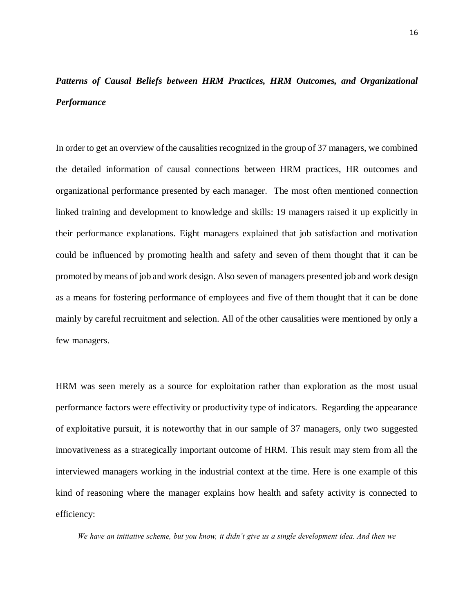## *Patterns of Causal Beliefs between HRM Practices, HRM Outcomes, and Organizational Performance*

In order to get an overview of the causalities recognized in the group of 37 managers, we combined the detailed information of causal connections between HRM practices, HR outcomes and organizational performance presented by each manager. The most often mentioned connection linked training and development to knowledge and skills: 19 managers raised it up explicitly in their performance explanations. Eight managers explained that job satisfaction and motivation could be influenced by promoting health and safety and seven of them thought that it can be promoted by means of job and work design. Also seven of managers presented job and work design as a means for fostering performance of employees and five of them thought that it can be done mainly by careful recruitment and selection. All of the other causalities were mentioned by only a few managers.

HRM was seen merely as a source for exploitation rather than exploration as the most usual performance factors were effectivity or productivity type of indicators. Regarding the appearance of exploitative pursuit, it is noteworthy that in our sample of 37 managers, only two suggested innovativeness as a strategically important outcome of HRM. This result may stem from all the interviewed managers working in the industrial context at the time. Here is one example of this kind of reasoning where the manager explains how health and safety activity is connected to efficiency:

*We have an initiative scheme, but you know, it didn't give us a single development idea. And then we*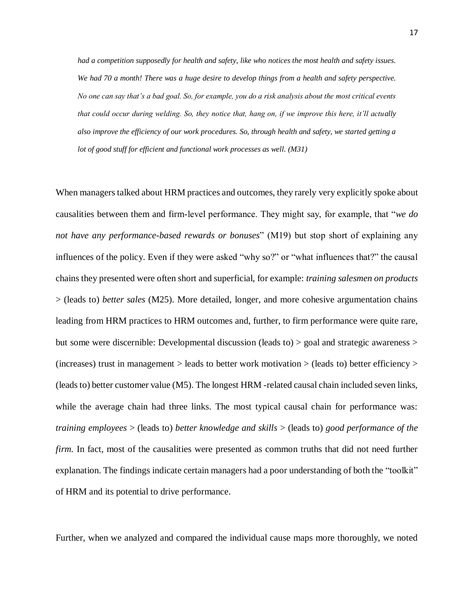*had a competition supposedly for health and safety, like who notices the most health and safety issues. We had 70 a month! There was a huge desire to develop things from a health and safety perspective. No one can say that's a bad goal. So, for example, you do a risk analysis about the most critical events that could occur during welding. So, they notice that, hang on, if we improve this here, it'll actually also improve the efficiency of our work procedures. So, through health and safety, we started getting a lot of good stuff for efficient and functional work processes as well. (M31)*

When managers talked about HRM practices and outcomes, they rarely very explicitly spoke about causalities between them and firm-level performance. They might say, for example, that "*we do not have any performance-based rewards or bonuses*" (M19) but stop short of explaining any influences of the policy. Even if they were asked "why so?" or "what influences that?" the causal chains they presented were often short and superficial, for example: *training salesmen on products* > (leads to) *better sales* (M25). More detailed, longer, and more cohesive argumentation chains leading from HRM practices to HRM outcomes and, further, to firm performance were quite rare, but some were discernible: Developmental discussion (leads to) > goal and strategic awareness > (increases) trust in management  $>$  leads to better work motivation  $>$  (leads to) better efficiency  $>$ (leads to) better customer value (M5). The longest HRM -related causal chain included seven links, while the average chain had three links. The most typical causal chain for performance was: *training employees* > (leads to) *better knowledge and skills* > (leads to) *good performance of the firm.* In fact, most of the causalities were presented as common truths that did not need further explanation. The findings indicate certain managers had a poor understanding of both the "toolkit" of HRM and its potential to drive performance.

Further, when we analyzed and compared the individual cause maps more thoroughly, we noted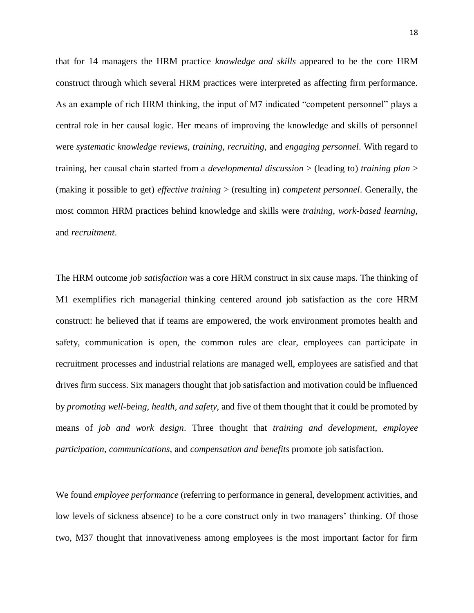that for 14 managers the HRM practice *knowledge and skills* appeared to be the core HRM construct through which several HRM practices were interpreted as affecting firm performance. As an example of rich HRM thinking, the input of M7 indicated "competent personnel" plays a central role in her causal logic. Her means of improving the knowledge and skills of personnel were *systematic knowledge reviews, training, recruiting,* and *engaging personnel*. With regard to training, her causal chain started from a *developmental discussion* > (leading to) *training plan* > (making it possible to get) *effective training* > (resulting in) *competent personnel*. Generally, the most common HRM practices behind knowledge and skills were *training, work-based learning,* and *recruitment*.

The HRM outcome *job satisfaction* was a core HRM construct in six cause maps. The thinking of M1 exemplifies rich managerial thinking centered around job satisfaction as the core HRM construct: he believed that if teams are empowered, the work environment promotes health and safety, communication is open, the common rules are clear, employees can participate in recruitment processes and industrial relations are managed well, employees are satisfied and that drives firm success. Six managers thought that job satisfaction and motivation could be influenced by *promoting well-being, health, and safety,* and five of them thought that it could be promoted by means of *job and work design*. Three thought that *training and development*, *employee participation*, *communications,* and *compensation and benefits* promote job satisfaction.

We found *employee performance* (referring to performance in general, development activities, and low levels of sickness absence) to be a core construct only in two managers' thinking. Of those two, M37 thought that innovativeness among employees is the most important factor for firm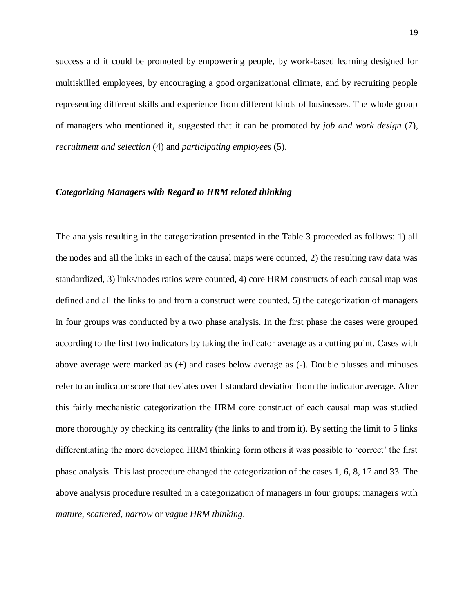success and it could be promoted by empowering people, by work-based learning designed for multiskilled employees, by encouraging a good organizational climate, and by recruiting people representing different skills and experience from different kinds of businesses. The whole group of managers who mentioned it, suggested that it can be promoted by *job and work design* (7), *recruitment and selection* (4) and *participating employees* (5).

#### *Categorizing Managers with Regard to HRM related thinking*

The analysis resulting in the categorization presented in the Table 3 proceeded as follows: 1) all the nodes and all the links in each of the causal maps were counted, 2) the resulting raw data was standardized, 3) links/nodes ratios were counted, 4) core HRM constructs of each causal map was defined and all the links to and from a construct were counted, 5) the categorization of managers in four groups was conducted by a two phase analysis. In the first phase the cases were grouped according to the first two indicators by taking the indicator average as a cutting point. Cases with above average were marked as (+) and cases below average as (-). Double plusses and minuses refer to an indicator score that deviates over 1 standard deviation from the indicator average. After this fairly mechanistic categorization the HRM core construct of each causal map was studied more thoroughly by checking its centrality (the links to and from it). By setting the limit to 5 links differentiating the more developed HRM thinking form others it was possible to 'correct' the first phase analysis. This last procedure changed the categorization of the cases 1, 6, 8, 17 and 33. The above analysis procedure resulted in a categorization of managers in four groups: managers with *mature*, *scattered*, *narrow* or *vague HRM thinking*.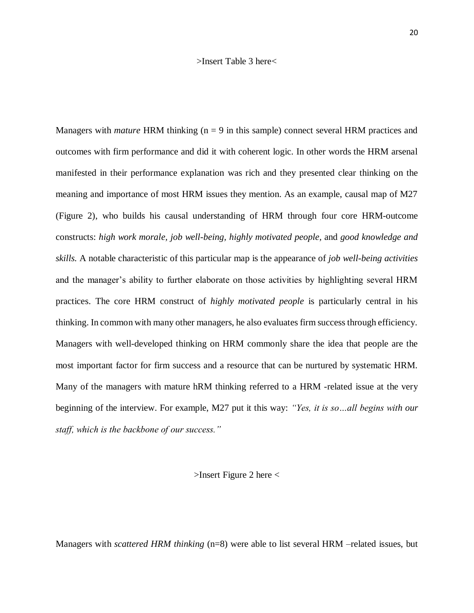#### >Insert Table 3 here<

Managers with *mature* HRM thinking (n = 9 in this sample) connect several HRM practices and outcomes with firm performance and did it with coherent logic. In other words the HRM arsenal manifested in their performance explanation was rich and they presented clear thinking on the meaning and importance of most HRM issues they mention. As an example, causal map of M27 (Figure 2), who builds his causal understanding of HRM through four core HRM-outcome constructs: *high work morale, job well-being, highly motivated people,* and *good knowledge and skills.* A notable characteristic of this particular map is the appearance of *job well-being activities* and the manager's ability to further elaborate on those activities by highlighting several HRM practices. The core HRM construct of *highly motivated people* is particularly central in his thinking. In common with many other managers, he also evaluates firm success through efficiency. Managers with well-developed thinking on HRM commonly share the idea that people are the most important factor for firm success and a resource that can be nurtured by systematic HRM. Many of the managers with mature hRM thinking referred to a HRM -related issue at the very beginning of the interview. For example, M27 put it this way: *"Yes, it is so…all begins with our staff, which is the backbone of our success."* 

>Insert Figure 2 here <

Managers with *scattered HRM thinking* (n=8) were able to list several HRM –related issues, but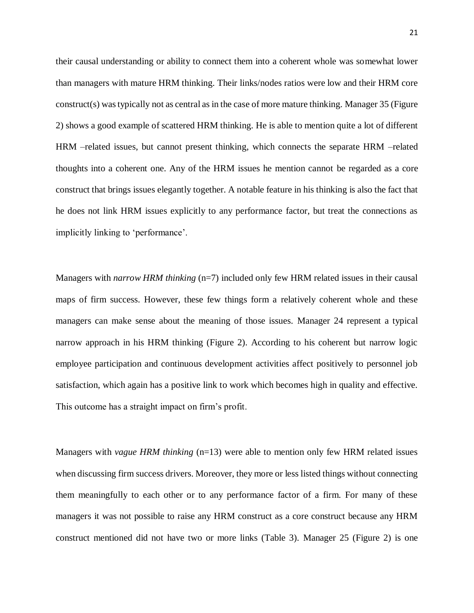their causal understanding or ability to connect them into a coherent whole was somewhat lower than managers with mature HRM thinking. Their links/nodes ratios were low and their HRM core construct(s) was typically not as central as in the case of more mature thinking. Manager 35 (Figure 2) shows a good example of scattered HRM thinking. He is able to mention quite a lot of different HRM –related issues, but cannot present thinking, which connects the separate HRM –related thoughts into a coherent one. Any of the HRM issues he mention cannot be regarded as a core construct that brings issues elegantly together. A notable feature in his thinking is also the fact that he does not link HRM issues explicitly to any performance factor, but treat the connections as implicitly linking to 'performance'.

Managers with *narrow HRM thinking* (n=7) included only few HRM related issues in their causal maps of firm success. However, these few things form a relatively coherent whole and these managers can make sense about the meaning of those issues. Manager 24 represent a typical narrow approach in his HRM thinking (Figure 2). According to his coherent but narrow logic employee participation and continuous development activities affect positively to personnel job satisfaction, which again has a positive link to work which becomes high in quality and effective. This outcome has a straight impact on firm's profit.

Managers with *vague HRM thinking* (n=13) were able to mention only few HRM related issues when discussing firm success drivers. Moreover, they more or less listed things without connecting them meaningfully to each other or to any performance factor of a firm. For many of these managers it was not possible to raise any HRM construct as a core construct because any HRM construct mentioned did not have two or more links (Table 3). Manager 25 (Figure 2) is one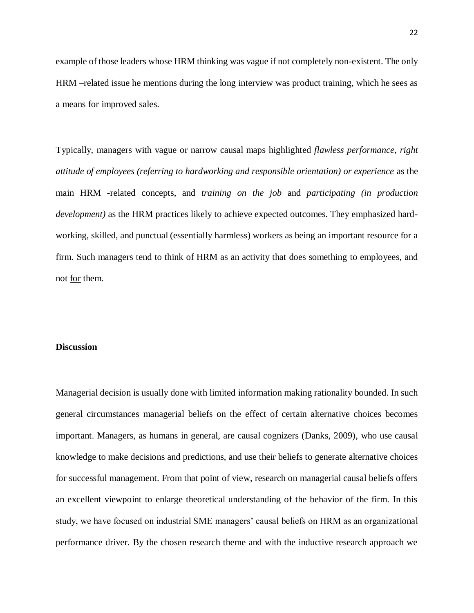example of those leaders whose HRM thinking was vague if not completely non-existent. The only HRM –related issue he mentions during the long interview was product training, which he sees as a means for improved sales.

Typically, managers with vague or narrow causal maps highlighted *flawless performance, right attitude of employees (referring to hardworking and responsible orientation) or experience* as the main HRM -related concepts, and *training on the job* and *participating (in production development)* as the HRM practices likely to achieve expected outcomes. They emphasized hardworking, skilled, and punctual (essentially harmless) workers as being an important resource for a firm. Such managers tend to think of HRM as an activity that does something to employees, and not for them.

#### **Discussion**

Managerial decision is usually done with limited information making rationality bounded. In such general circumstances managerial beliefs on the effect of certain alternative choices becomes important. Managers, as humans in general, are causal cognizers (Danks, 2009), who use causal knowledge to make decisions and predictions, and use their beliefs to generate alternative choices for successful management. From that point of view, research on managerial causal beliefs offers an excellent viewpoint to enlarge theoretical understanding of the behavior of the firm. In this study, we have focused on industrial SME managers' causal beliefs on HRM as an organizational performance driver. By the chosen research theme and with the inductive research approach we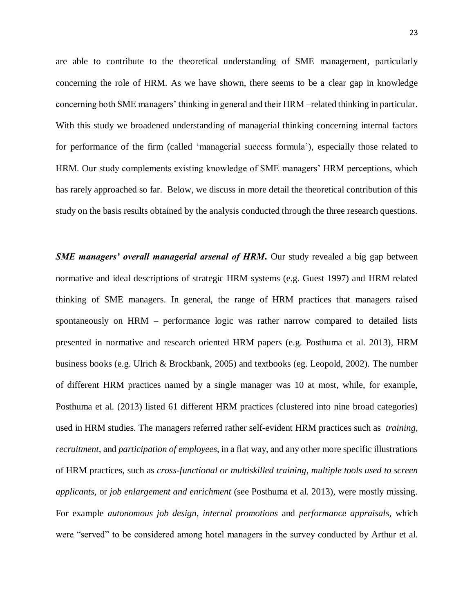are able to contribute to the theoretical understanding of SME management, particularly concerning the role of HRM. As we have shown, there seems to be a clear gap in knowledge concerning both SME managers' thinking in general and their HRM –related thinking in particular. With this study we broadened understanding of managerial thinking concerning internal factors for performance of the firm (called 'managerial success formula'), especially those related to HRM. Our study complements existing knowledge of SME managers' HRM perceptions, which has rarely approached so far. Below, we discuss in more detail the theoretical contribution of this study on the basis results obtained by the analysis conducted through the three research questions.

*SME managers' overall managerial arsenal of HRM***. Our study revealed a big gap between** normative and ideal descriptions of strategic HRM systems (e.g. Guest 1997) and HRM related thinking of SME managers. In general, the range of HRM practices that managers raised spontaneously on HRM – performance logic was rather narrow compared to detailed lists presented in normative and research oriented HRM papers (e.g. Posthuma et al. 2013), HRM business books (e.g. Ulrich & Brockbank, 2005) and textbooks (eg. Leopold, 2002). The number of different HRM practices named by a single manager was 10 at most, while, for example, Posthuma et al. (2013) listed 61 different HRM practices (clustered into nine broad categories) used in HRM studies. The managers referred rather self-evident HRM practices such as *training*, *recruitment,* and *participation of employees*, in a flat way, and any other more specific illustrations of HRM practices, such as *cross-functional or multiskilled training*, *multiple tools used to screen applicants,* or *job enlargement and enrichment* (see Posthuma et al. 2013), were mostly missing. For example *autonomous job design*, *internal promotions* and *performance appraisals,* which were "served" to be considered among hotel managers in the survey conducted by Arthur et al.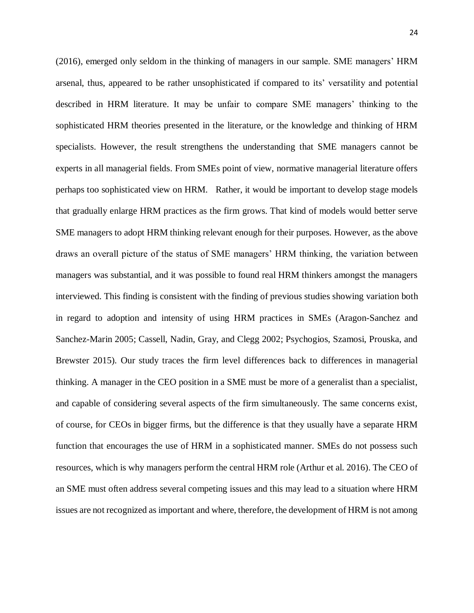(2016), emerged only seldom in the thinking of managers in our sample. SME managers' HRM arsenal, thus, appeared to be rather unsophisticated if compared to its' versatility and potential described in HRM literature. It may be unfair to compare SME managers' thinking to the sophisticated HRM theories presented in the literature, or the knowledge and thinking of HRM specialists. However, the result strengthens the understanding that SME managers cannot be experts in all managerial fields. From SMEs point of view, normative managerial literature offers perhaps too sophisticated view on HRM. Rather, it would be important to develop stage models that gradually enlarge HRM practices as the firm grows. That kind of models would better serve SME managers to adopt HRM thinking relevant enough for their purposes. However, as the above draws an overall picture of the status of SME managers' HRM thinking, the variation between managers was substantial, and it was possible to found real HRM thinkers amongst the managers interviewed. This finding is consistent with the finding of previous studies showing variation both in regard to adoption and intensity of using HRM practices in SMEs (Aragon-Sanchez and Sanchez-Marin 2005; Cassell, Nadin, Gray, and Clegg 2002; Psychogios, Szamosi, Prouska, and Brewster 2015). Our study traces the firm level differences back to differences in managerial thinking. A manager in the CEO position in a SME must be more of a generalist than a specialist, and capable of considering several aspects of the firm simultaneously. The same concerns exist, of course, for CEOs in bigger firms, but the difference is that they usually have a separate HRM function that encourages the use of HRM in a sophisticated manner. SMEs do not possess such resources, which is why managers perform the central HRM role (Arthur et al. 2016). The CEO of an SME must often address several competing issues and this may lead to a situation where HRM issues are not recognized as important and where, therefore, the development of HRM is not among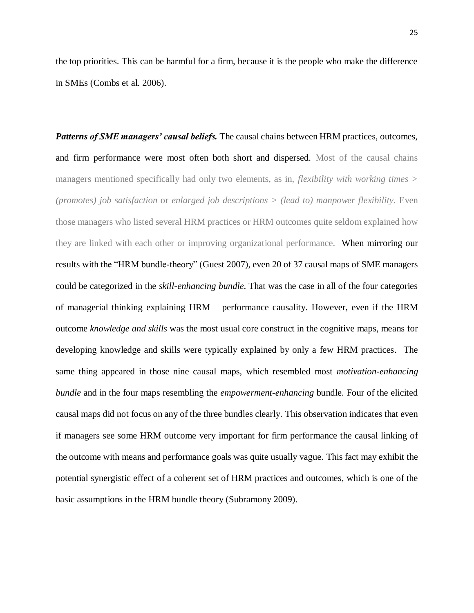the top priorities. This can be harmful for a firm, because it is the people who make the difference in SMEs (Combs et al. 2006).

*Patterns of SME managers' causal beliefs.* The causal chains between HRM practices, outcomes, and firm performance were most often both short and dispersed. Most of the causal chains managers mentioned specifically had only two elements, as in, *flexibility with working times > (promotes) job satisfaction* or *enlarged job descriptions > (lead to) manpower flexibility*. Even those managers who listed several HRM practices or HRM outcomes quite seldom explained how they are linked with each other or improving organizational performance. When mirroring our results with the "HRM bundle-theory" (Guest 2007), even 20 of 37 causal maps of SME managers could be categorized in the *skill-enhancing bundle*. That was the case in all of the four categories of managerial thinking explaining HRM – performance causality. However, even if the HRM outcome *knowledge and skills* was the most usual core construct in the cognitive maps, means for developing knowledge and skills were typically explained by only a few HRM practices. The same thing appeared in those nine causal maps, which resembled most *motivation-enhancing bundle* and in the four maps resembling the *empowerment-enhancing* bundle. Four of the elicited causal maps did not focus on any of the three bundles clearly. This observation indicates that even if managers see some HRM outcome very important for firm performance the causal linking of the outcome with means and performance goals was quite usually vague. This fact may exhibit the potential synergistic effect of a coherent set of HRM practices and outcomes, which is one of the basic assumptions in the HRM bundle theory (Subramony 2009).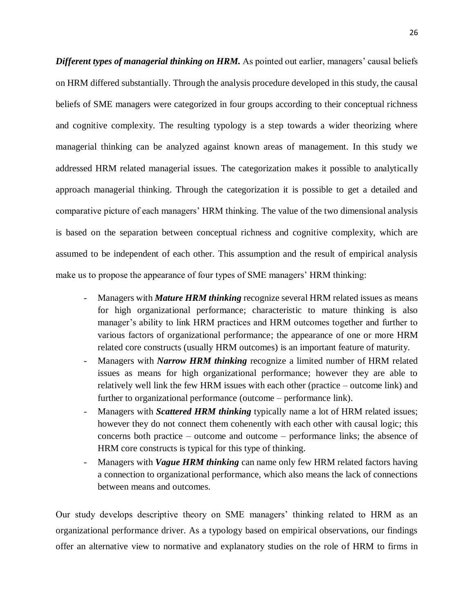*Different types of managerial thinking on HRM.* As pointed out earlier, managers' causal beliefs on HRM differed substantially. Through the analysis procedure developed in this study, the causal beliefs of SME managers were categorized in four groups according to their conceptual richness and cognitive complexity. The resulting typology is a step towards a wider theorizing where managerial thinking can be analyzed against known areas of management. In this study we addressed HRM related managerial issues. The categorization makes it possible to analytically approach managerial thinking. Through the categorization it is possible to get a detailed and comparative picture of each managers' HRM thinking. The value of the two dimensional analysis is based on the separation between conceptual richness and cognitive complexity, which are assumed to be independent of each other. This assumption and the result of empirical analysis make us to propose the appearance of four types of SME managers' HRM thinking:

- Managers with *Mature HRM thinking* recognize several HRM related issues as means for high organizational performance; characteristic to mature thinking is also manager's ability to link HRM practices and HRM outcomes together and further to various factors of organizational performance; the appearance of one or more HRM related core constructs (usually HRM outcomes) is an important feature of maturity.
- Managers with *Narrow HRM thinking* recognize a limited number of HRM related issues as means for high organizational performance; however they are able to relatively well link the few HRM issues with each other (practice – outcome link) and further to organizational performance (outcome – performance link).
- Managers with *Scattered HRM thinking* typically name a lot of HRM related issues; however they do not connect them cohenently with each other with causal logic; this concerns both practice – outcome and outcome – performance links; the absence of HRM core constructs is typical for this type of thinking.
- Managers with *Vague HRM thinking* can name only few HRM related factors having a connection to organizational performance, which also means the lack of connections between means and outcomes.

Our study develops descriptive theory on SME managers' thinking related to HRM as an organizational performance driver. As a typology based on empirical observations, our findings offer an alternative view to normative and explanatory studies on the role of HRM to firms in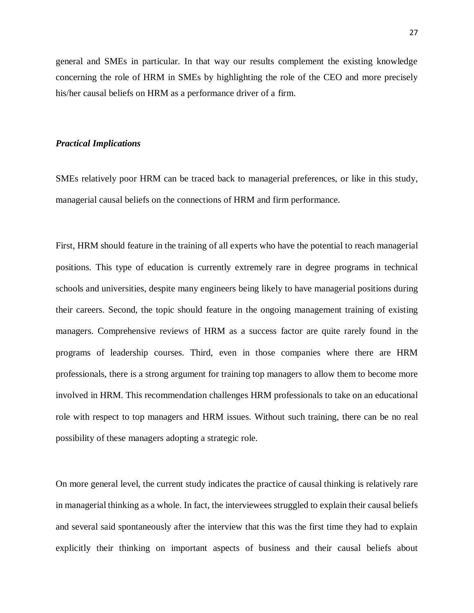general and SMEs in particular. In that way our results complement the existing knowledge concerning the role of HRM in SMEs by highlighting the role of the CEO and more precisely his/her causal beliefs on HRM as a performance driver of a firm.

#### *Practical Implications*

SMEs relatively poor HRM can be traced back to managerial preferences, or like in this study, managerial causal beliefs on the connections of HRM and firm performance.

First, HRM should feature in the training of all experts who have the potential to reach managerial positions. This type of education is currently extremely rare in degree programs in technical schools and universities, despite many engineers being likely to have managerial positions during their careers. Second, the topic should feature in the ongoing management training of existing managers. Comprehensive reviews of HRM as a success factor are quite rarely found in the programs of leadership courses. Third, even in those companies where there are HRM professionals, there is a strong argument for training top managers to allow them to become more involved in HRM. This recommendation challenges HRM professionals to take on an educational role with respect to top managers and HRM issues. Without such training, there can be no real possibility of these managers adopting a strategic role.

On more general level, the current study indicates the practice of causal thinking is relatively rare in managerial thinking as a whole. In fact, the interviewees struggled to explain their causal beliefs and several said spontaneously after the interview that this was the first time they had to explain explicitly their thinking on important aspects of business and their causal beliefs about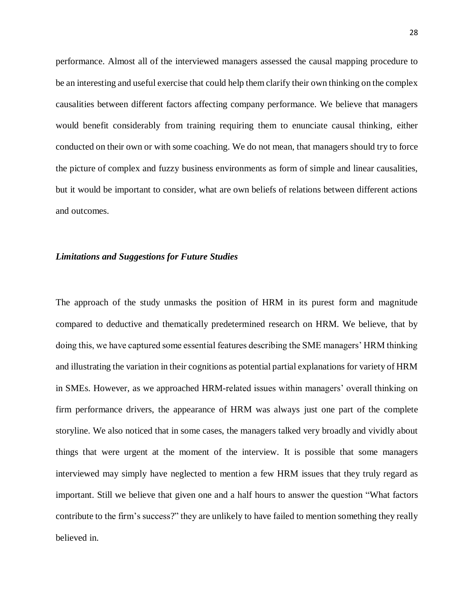performance. Almost all of the interviewed managers assessed the causal mapping procedure to be an interesting and useful exercise that could help them clarify their own thinking on the complex causalities between different factors affecting company performance. We believe that managers would benefit considerably from training requiring them to enunciate causal thinking, either conducted on their own or with some coaching. We do not mean, that managers should try to force the picture of complex and fuzzy business environments as form of simple and linear causalities, but it would be important to consider, what are own beliefs of relations between different actions and outcomes.

#### *Limitations and Suggestions for Future Studies*

The approach of the study unmasks the position of HRM in its purest form and magnitude compared to deductive and thematically predetermined research on HRM. We believe, that by doing this, we have captured some essential features describing the SME managers' HRM thinking and illustrating the variation in their cognitions as potential partial explanations for variety of HRM in SMEs. However, as we approached HRM-related issues within managers' overall thinking on firm performance drivers, the appearance of HRM was always just one part of the complete storyline. We also noticed that in some cases, the managers talked very broadly and vividly about things that were urgent at the moment of the interview. It is possible that some managers interviewed may simply have neglected to mention a few HRM issues that they truly regard as important. Still we believe that given one and a half hours to answer the question "What factors contribute to the firm's success?" they are unlikely to have failed to mention something they really believed in.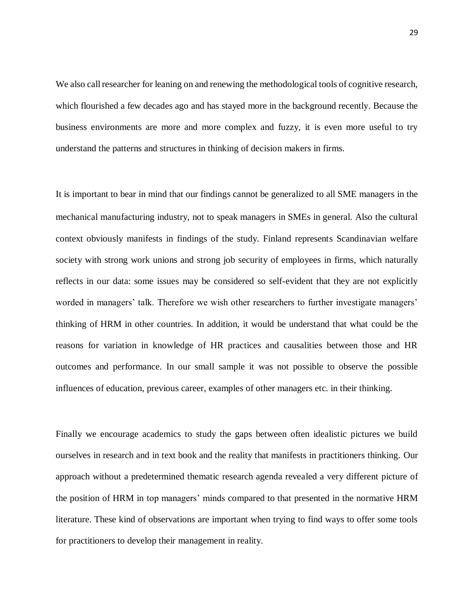We also call researcher for leaning on and renewing the methodological tools of cognitive research, which flourished a few decades ago and has stayed more in the background recently. Because the business environments are more and more complex and fuzzy, it is even more useful to try understand the patterns and structures in thinking of decision makers in firms.

It is important to bear in mind that our findings cannot be generalized to all SME managers in the mechanical manufacturing industry, not to speak managers in SMEs in general. Also the cultural context obviously manifests in findings of the study. Finland represents Scandinavian welfare society with strong work unions and strong job security of employees in firms, which naturally reflects in our data: some issues may be considered so self-evident that they are not explicitly worded in managers' talk. Therefore we wish other researchers to further investigate managers' thinking of HRM in other countries. In addition, it would be understand that what could be the reasons for variation in knowledge of HR practices and causalities between those and HR outcomes and performance. In our small sample it was not possible to observe the possible influences of education, previous career, examples of other managers etc. in their thinking.

Finally we encourage academics to study the gaps between often idealistic pictures we build ourselves in research and in text book and the reality that manifests in practitioners thinking. Our approach without a predetermined thematic research agenda revealed a very different picture of the position of HRM in top managers' minds compared to that presented in the normative HRM literature. These kind of observations are important when trying to find ways to offer some tools for practitioners to develop their management in reality.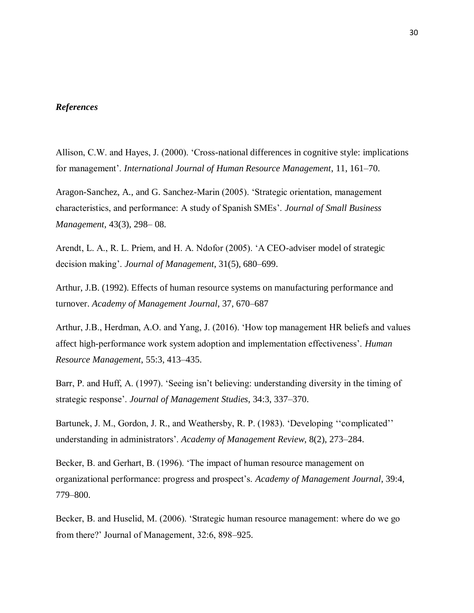#### *References*

Allison, C.W. and Hayes, J. (2000). 'Cross-national differences in cognitive style: implications for management'. *International Journal of Human Resource Management*, 11, 161–70.

Aragon-Sanchez, A., and G. Sanchez-Marin (2005). 'Strategic orientation, management characteristics, and performance: A study of Spanish SMEs'. *Journal of Small Business Management,* 43(3), 298– 08.

Arendt, L. A., R. L. Priem, and H. A. Ndofor (2005). 'A CEO-adviser model of strategic decision making'. *Journal of Management*, 31(5), 680–699.

Arthur, J.B. (1992). Effects of human resource systems on manufacturing performance and turnover. *Academy of Management Journal*, 37, 670–687

Arthur, J.B., Herdman, A.O. and Yang, J. (2016). 'How top management HR beliefs and values affect high-performance work system adoption and implementation effectiveness'. *Human Resource Management*, 55:3, 413–435.

Barr, P. and Huff, A. (1997). 'Seeing isn't believing: understanding diversity in the timing of strategic response'. *Journal of Management Studies*, 34:3, 337–370.

Bartunek, J. M., Gordon, J. R., and Weathersby, R. P. (1983). 'Developing ''complicated'' understanding in administrators'. *Academy of Management Review*, 8(2), 273–284.

Becker, B. and Gerhart, B. (1996). 'The impact of human resource management on organizational performance: progress and prospect's. *Academy of Management Journal*, 39:4, 779–800.

Becker, B. and Huselid, M. (2006). 'Strategic human resource management: where do we go from there?' Journal of Management, 32:6, 898–925.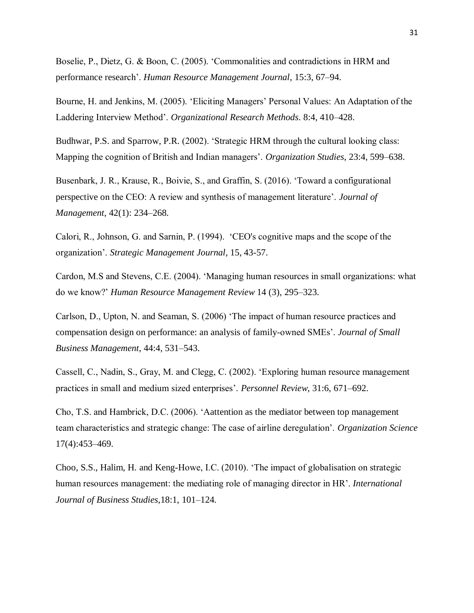Boselie, P., Dietz, G. & Boon, C. (2005). 'Commonalities and contradictions in HRM and performance research'. *Human Resource Management Journal*, 15:3, 67–94.

Bourne, H. and Jenkins, M. (2005). 'Eliciting Managers' Personal Values: An Adaptation of the Laddering Interview Method'. *Organizational Research Methods*. 8:4, 410–428.

Budhwar, P.S. and Sparrow, P.R. (2002). 'Strategic HRM through the cultural looking class: Mapping the cognition of British and Indian managers'. *Organization Studies*, 23:4, 599–638.

Busenbark, J. R., Krause, R., Boivie, S., and Graffin, S. (2016). 'Toward a configurational perspective on the CEO: A review and synthesis of management literature'. *Journal of Management*, 42(1): 234–268.

Calori, R., Johnson, G. and Sarnin, P. (1994). 'CEO's cognitive maps and the scope of the organization'. *Strategic Management Journal*, 15, 43-57.

Cardon, M.S and Stevens, C.E. (2004). 'Managing human resources in small organizations: what do we know?' *Human Resource Management Review* 14 (3), 295–323.

Carlson, D., Upton, N. and Seaman, S. (2006) 'The impact of human resource practices and compensation design on performance: an analysis of family-owned SMEs'. *Journal of Small Business Management*, 44:4, 531–543.

Cassell, C., Nadin, S., Gray, M. and Clegg, C. (2002). 'Exploring human resource management practices in small and medium sized enterprises'. *Personnel Review*, 31:6, 671–692.

Cho, T.S. and Hambrick, D.C. (2006). 'Aattention as the mediator between top management team characteristics and strategic change: The case of airline deregulation'. *Organization Science* 17(4):453–469.

Choo, S.S., Halim, H. and Keng-Howe, I.C. (2010). 'The impact of globalisation on strategic human resources management: the mediating role of managing director in HR'. *International Journal of Business Studies*,18:1, 101–124.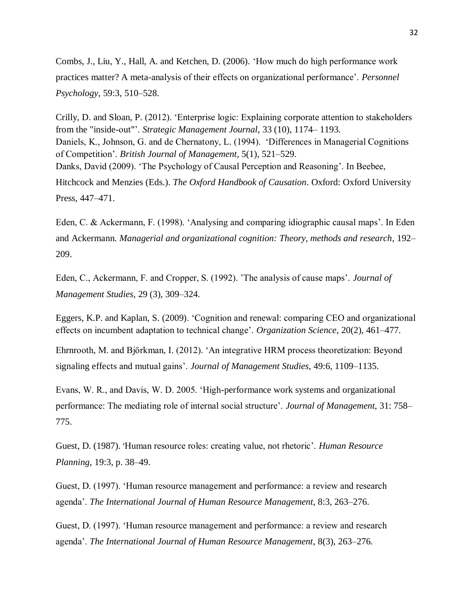Combs, J., Liu, Y., Hall, A. and Ketchen, D. (2006). 'How much do high performance work practices matter? A meta-analysis of their effects on organizational performance'. *Personnel Psychology*, 59:3, 510–528.

Crilly, D. and Sloan, P. (2012). 'Enterprise logic: Explaining corporate attention to stakeholders from the "inside-out"'. *Strategic Management Journal*, 33 (10), 1174– 1193. Daniels, K., Johnson, G. and de Chernatony, L. (1994). 'Differences in Managerial Cognitions of Competition'. *British Journal of Management*, 5(1), 521–529. Danks, David (2009). 'The Psychology of Causal Perception and Reasoning'. In Beebee, Hitchcock and Menzies (Eds.). *The Oxford Handbook of Causation*. Oxford: Oxford University Press, 447–471.

Eden, C. & Ackermann, F. (1998). 'Analysing and comparing idiographic causal maps'. In Eden and Ackermann. *Managerial and organizational cognition: Theory, methods and research*, 192– 209.

Eden, C., Ackermann, F. and Cropper, S. (1992). 'The analysis of cause maps'. *Journal of Management Studies,* 29 (3), 309–324.

Eggers, K.P. and Kaplan, S. (2009). 'Cognition and renewal: comparing CEO and organizational effects on incumbent adaptation to technical change'. *Organization Science*, 20(2), 461–477.

Ehrnrooth, M. and Björkman, I. (2012). 'An integrative HRM process theoretization: Beyond signaling effects and mutual gains'. *Journal of Management Studies*, 49:6, 1109–1135.

Evans, W. R., and Davis, W. D. 2005. 'High-performance work systems and organizational performance: The mediating role of internal social structure'. *Journal of Management*, 31: 758– 775.

Guest, D. (1987). 'Human resource roles: creating value, not rhetoric'. *Human Resource Planning*, 19:3, p. 38–49.

Guest, D. (1997). 'Human resource management and performance: a review and research agenda'. *The International Journal of Human Resource Management*, 8:3, 263–276.

Guest, D. (1997). 'Human resource management and performance: a review and research agenda'. *The International Journal of Human Resource Management*, 8(3), 263–276.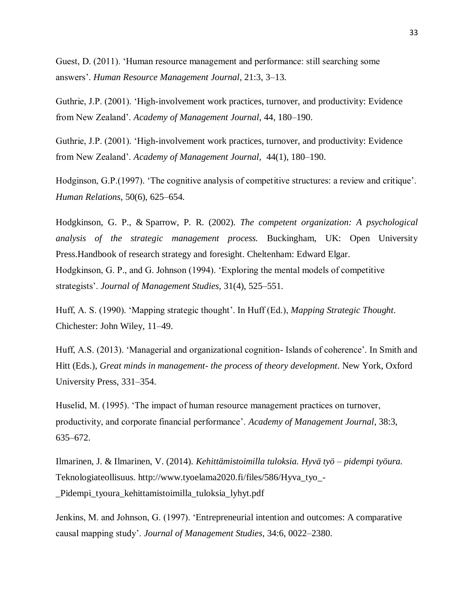Guest, D. (2011). 'Human resource management and performance: still searching some answers'. *Human Resource Management Journal*, 21:3, 3–13.

Guthrie, J.P. (2001). 'High-involvement work practices, turnover, and productivity: Evidence from New Zealand'. *Academy of Management Journal*, 44, 180–190.

Guthrie, J.P. (2001). 'High-involvement work practices, turnover, and productivity: Evidence from New Zealand'. *Academy of Management Journal,* 44(1), 180–190.

Hodginson, G.P.(1997). 'The cognitive analysis of competitive structures: a review and critique'. *Human Relations*, 50(6), 625–654.

Hodgkinson, G. P., & Sparrow, P. R. (2002). *The competent organization: A psychological analysis of the strategic management process.* Buckingham, UK: Open University Press.Handbook of research strategy and foresight. Cheltenham: Edward Elgar. Hodgkinson, G. P., and G. Johnson (1994). 'Exploring the mental models of competitive strategists'. *Journal of Management Studies,* 31(4), 525–551.

Huff, A. S. (1990). 'Mapping strategic thought'. In Huff (Ed.), *Mapping Strategic Thought*. Chichester: John Wiley, 11–49.

Huff, A.S. (2013). 'Managerial and organizational cognition- Islands of coherence'. In Smith and Hitt (Eds.), *Great minds in management- the process of theory development*. New York, Oxford University Press, 331–354.

Huselid, M. (1995). 'The impact of human resource management practices on turnover, productivity, and corporate financial performance'. *Academy of Management Journal*, 38:3, 635–672.

Ilmarinen, J. & Ilmarinen, V. (2014). *Kehittämistoimilla tuloksia. Hyvä työ – pidempi työura.* Teknologiateollisuus. http://www.tyoelama2020.fi/files/586/Hyva\_tyo\_- \_Pidempi\_tyoura\_kehittamistoimilla\_tuloksia\_lyhyt.pdf

Jenkins, M. and Johnson, G. (1997). 'Entrepreneurial intention and outcomes: A comparative causal mapping study'. *Journal of Management Studies*, 34:6, 0022–2380.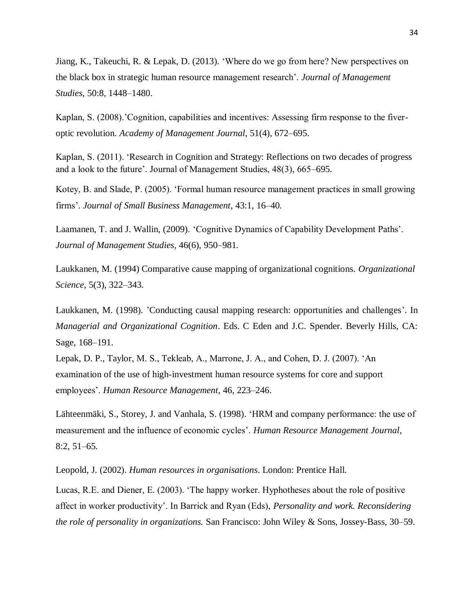Jiang, K., Takeuchi, R. & Lepak, D. (2013). 'Where do we go from here? New perspectives on the black box in strategic human resource management research'. *Journal of Management Studies*, 50:8, 1448–1480.

Kaplan, S. (2008).'Cognition, capabilities and incentives: Assessing firm response to the fiveroptic revolution. *Academy of Management Journal*, 51(4), 672–695.

Kaplan, S. (2011). 'Research in Cognition and Strategy: Reflections on two decades of progress and a look to the future'. Journal of Management Studies, 48(3), 665–695.

Kotey, B. and Slade, P. (2005). 'Formal human resource management practices in small growing firms'. *Journal of Small Business Management*, 43:1, 16–40.

Laamanen, T. and J. Wallin, (2009). 'Cognitive Dynamics of Capability Development Paths'. *Journal of Management Studies,* 46(6), 950–981.

Laukkanen, M. (1994) Comparative cause mapping of organizational cognitions. *Organizational Science*, 5(3), 322–343.

Laukkanen, M. (1998). 'Conducting causal mapping research: opportunities and challenges'. In *Managerial and Organizational Cognition*. Eds. C Eden and J.C. Spender. Beverly Hills, CA: Sage, 168–191.

Lepak, D. P., Taylor, M. S., Tekleab, A., Marrone, J. A., and Cohen, D. J. (2007). 'An examination of the use of high-investment human resource systems for core and support employees'. *Human Resource Management*, 46, 223–246.

Lähteenmäki, S., Storey, J. and Vanhala, S. (1998). 'HRM and company performance: the use of measurement and the influence of economic cycles'. *Human Resource Management Journal*, 8:2, 51–65.

Leopold, J. (2002). *Human resources in organisations*. London: Prentice Hall.

Lucas, R.E. and Diener, E. (2003). 'The happy worker. Hyphotheses about the role of positive affect in worker productivity'. In Barrick and Ryan (Eds), *Personality and work. Reconsidering the role of personality in organizations.* San Francisco: John Wiley & Sons, Jossey-Bass, 30–59.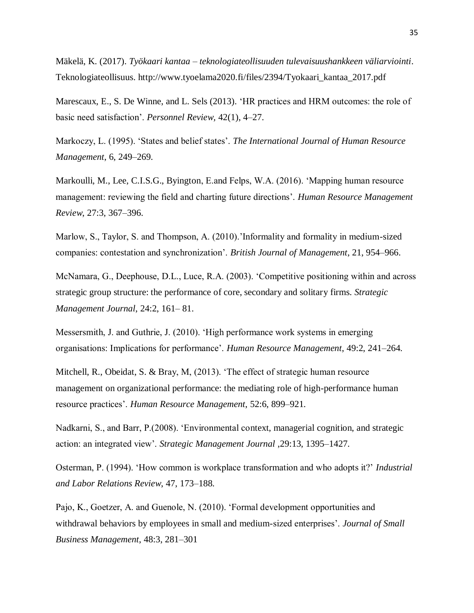Mäkelä, K. (2017). *Työkaari kantaa – teknologiateollisuuden tulevaisuushankkeen väliarviointi*. Teknologiateollisuus. http://www.tyoelama2020.fi/files/2394/Tyokaari\_kantaa\_2017.pdf

Marescaux, E., S. De Winne, and L. Sels (2013). 'HR practices and HRM outcomes: the role of basic need satisfaction'. *Personnel Review,* 42(1), 4–27.

Markoczy, L. (1995). 'States and belief states'. *The International Journal of Human Resource Management*, 6, 249–269.

Markoulli, M., Lee, C.I.S.G., Byington, E.and Felps, W.A. (2016). 'Mapping human resource management: reviewing the field and charting future directions'. *Human Resource Management Review*, 27:3, 367–396.

Marlow, S., Taylor, S. and Thompson, A. (2010).'Informality and formality in medium-sized companies: contestation and synchronization'. *British Journal of Management*, 21, 954–966.

McNamara, G., Deephouse, D.L., Luce, R.A. (2003). 'Competitive positioning within and across strategic group structure: the performance of core, secondary and solitary firms. *Strategic Management Journal*, 24:2, 161– 81.

Messersmith, J. and Guthrie, J. (2010). 'High performance work systems in emerging organisations: Implications for performance'. *Human Resource Management*, 49:2, 241–264.

Mitchell, R., Obeidat, S. & Bray, M, (2013). 'The effect of strategic human resource management on organizational performance: the mediating role of high-performance human resource practices'. *Human Resource Management*, 52:6, 899–921.

Nadkarni, S., and Barr, P.(2008). 'Environmental context, managerial cognition, and strategic action: an integrated view'. *Strategic Management Journal* ,29:13, 1395–1427.

Osterman, P. (1994). 'How common is workplace transformation and who adopts it?' *Industrial and Labor Relations Review*, 47, 173–188.

Pajo, K., Goetzer, A. and Guenole, N. (2010). 'Formal development opportunities and withdrawal behaviors by employees in small and medium-sized enterprises'. *Journal of Small Business Management*, 48:3, 281–301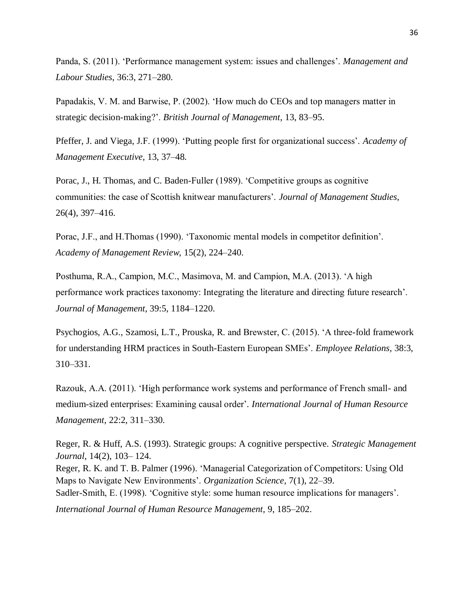Panda, S. (2011). 'Performance management system: issues and challenges'. *Management and Labour Studies*, 36:3, 271–280.

Papadakis, V. M. and Barwise, P. (2002). 'How much do CEOs and top managers matter in strategic decision-making?'. *British Journal of Management*, 13, 83–95.

Pfeffer, J. and Viega, J.F. (1999). 'Putting people first for organizational success'. *Academy of Management Executive*, 13, 37–48.

Porac, J., H. Thomas, and C. Baden-Fuller (1989). 'Competitive groups as cognitive communities: the case of Scottish knitwear manufacturers'. *Journal of Management Studies*, 26(4), 397–416.

Porac, J.F., and H.Thomas (1990). 'Taxonomic mental models in competitor definition'. *Academy of Management Review,* 15(2), 224–240.

Posthuma, R.A., Campion, M.C., Masimova, M. and Campion, M.A. (2013). 'A high performance work practices taxonomy: Integrating the literature and directing future research'. *Journal of Management*, 39:5, 1184–1220.

Psychogios, A.G., Szamosi, L.T., Prouska, R. and Brewster, C. (2015). 'A three-fold framework for understanding HRM practices in South-Eastern European SMEs'. *Employee Relations*, 38:3, 310–331.

Razouk, A.A. (2011). 'High performance work systems and performance of French small- and medium-sized enterprises: Examining causal order'*. International Journal of Human Resource Management*, 22:2, 311–330.

Reger, R. & Huff, A.S. (1993). Strategic groups: A cognitive perspective. *Strategic Management Journal*, 14(2), 103– 124. Reger, R. K. and T. B. Palmer (1996). 'Managerial Categorization of Competitors: Using Old Maps to Navigate New Environments'. *Organization Science*, 7(1), 22–39. Sadler-Smith, E. (1998). 'Cognitive style: some human resource implications for managers'. *International Journal of Human Resource Management,* 9, 185–202.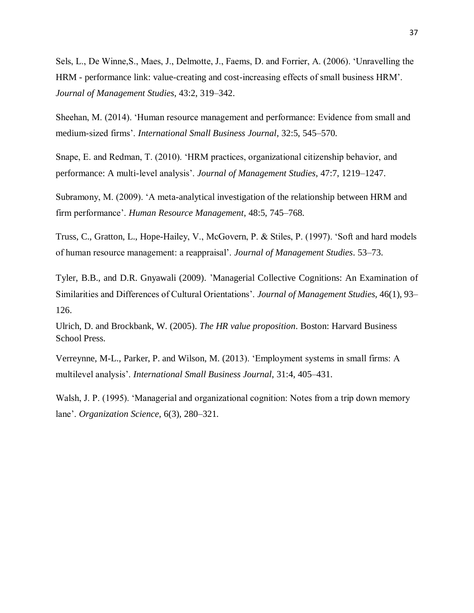Sels, L., De Winne,S., Maes, J., Delmotte, J., Faems, D. and Forrier, A. (2006). 'Unravelling the HRM - performance link: value-creating and cost-increasing effects of small business HRM'. *Journal of Management Studies*, 43:2, 319–342.

Sheehan, M. (2014). 'Human resource management and performance: Evidence from small and medium-sized firms'. *International Small Business Journal*, 32:5, 545–570.

Snape, E. and Redman, T. (2010). 'HRM practices, organizational citizenship behavior, and performance: A multi-level analysis'. *Journal of Management Studies*, 47:7, 1219–1247.

Subramony, M. (2009). 'A meta-analytical investigation of the relationship between HRM and firm performance'. *Human Resource Management*, 48:5, 745–768.

Truss, C., Gratton, L., Hope-Hailey, V., McGovern, P. & Stiles, P. (1997). 'Soft and hard models of human resource management: a reappraisal'. *Journal of Management Studies*. 53–73.

Tyler, B.B., and D.R. Gnyawali (2009). 'Managerial Collective Cognitions: An Examination of Similarities and Differences of Cultural Orientations'. *Journal of Management Studies,* 46(1), 93– 126.

Ulrich, D. and Brockbank, W. (2005). *The HR value proposition*. Boston: Harvard Business School Press.

Verreynne, M-L., Parker, P. and Wilson, M. (2013). 'Employment systems in small firms: A multilevel analysis'. *International Small Business Journal*, 31:4, 405–431.

Walsh, J. P. (1995). 'Managerial and organizational cognition: Notes from a trip down memory lane'. *Organization Science*, 6(3), 280–321.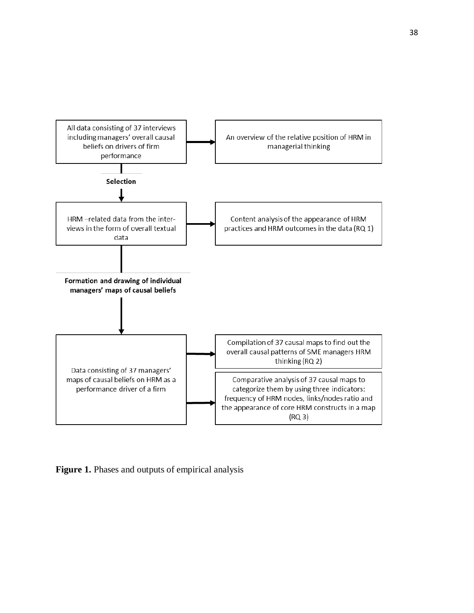

**Figure 1.** Phases and outputs of empirical analysis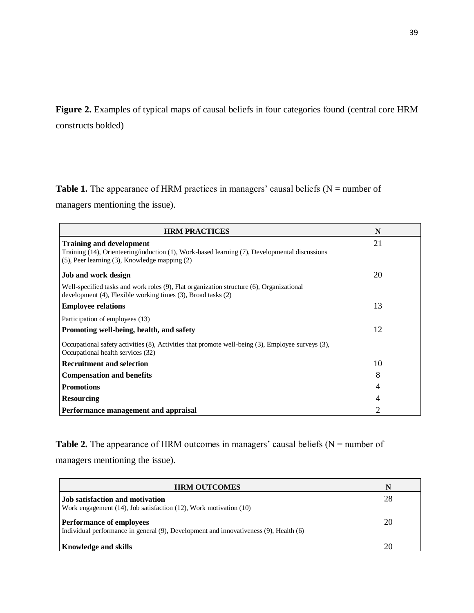**Figure 2.** Examples of typical maps of causal beliefs in four categories found (central core HRM constructs bolded)

## **Table 1.** The appearance of HRM practices in managers' causal beliefs ( $N =$  number of

managers mentioning the issue).

| <b>HRM PRACTICES</b>                                                                                                                                             | N  |
|------------------------------------------------------------------------------------------------------------------------------------------------------------------|----|
| <b>Training and development</b><br>Training (14), Orienteering/induction (1), Work-based learning (7), Developmental discussions                                 | 21 |
| $(5)$ , Peer learning $(3)$ , Knowledge mapping $(2)$                                                                                                            |    |
| <b>Job and work design</b>                                                                                                                                       | 20 |
| Well-specified tasks and work roles (9), Flat organization structure (6), Organizational<br>development $(4)$ , Flexible working times $(3)$ , Broad tasks $(2)$ |    |
| <b>Employee relations</b>                                                                                                                                        | 13 |
| Participation of employees (13)                                                                                                                                  |    |
| Promoting well-being, health, and safety                                                                                                                         | 12 |
| Occupational safety activities (8), Activities that promote well-being (3), Employee surveys (3),<br>Occupational health services (32)                           |    |
| <b>Recruitment and selection</b>                                                                                                                                 | 10 |
| <b>Compensation and benefits</b>                                                                                                                                 | 8  |
| <b>Promotions</b>                                                                                                                                                | 4  |
| <b>Resourcing</b>                                                                                                                                                | 4  |
| Performance management and appraisal                                                                                                                             | 2  |

**Table 2.** The appearance of HRM outcomes in managers' causal beliefs  $(N = number of$ 

managers mentioning the issue).

| <b>HRM OUTCOMES</b>                                                                                                      | N  |
|--------------------------------------------------------------------------------------------------------------------------|----|
| <b>Job satisfaction and motivation</b><br>Work engagement (14), Job satisfaction (12), Work motivation (10)              | 28 |
| <b>Performance of employees</b><br>Individual performance in general (9), Development and innovativeness (9), Health (6) | 20 |
| <b>Knowledge and skills</b>                                                                                              | 20 |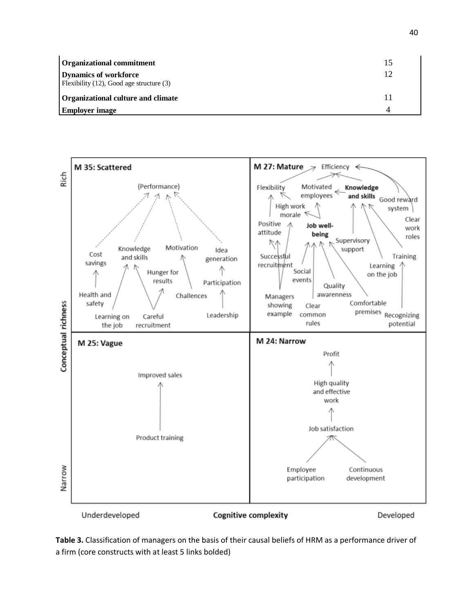| <b>Organizational commitment</b><br><b>Dynamics of workforce</b><br>Flexibility $(12)$ , Good age structure $(3)$ | 15 |
|-------------------------------------------------------------------------------------------------------------------|----|
| Organizational culture and climate<br><b>Employer image</b>                                                       |    |



**Table 3.** Classification of managers on the basis of their causal beliefs of HRM as a performance driver of a firm (core constructs with at least 5 links bolded)